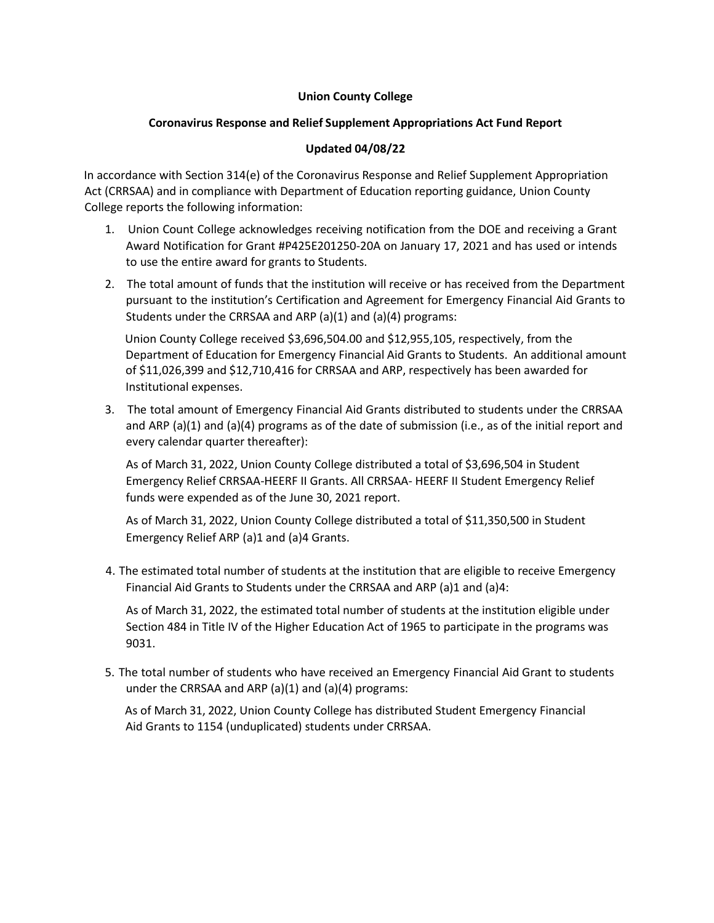## **Union County College**

## **Coronavirus Response and Relief Supplement Appropriations Act Fund Report**

## **Updated 04/08/22**

In accordance with Section 314(e) of the Coronavirus Response and Relief Supplement Appropriation Act (CRRSAA) and in compliance with Department of Education reporting guidance, Union County College reports the following information:

- 1. Union Count College acknowledges receiving notification from the DOE and receiving a Grant Award Notification for Grant #P425E201250-20A on January 17, 2021 and has used or intends to use the entire award for grants to Students.
- 2. The total amount of funds that the institution will receive or has received from the Department pursuant to the institution's Certification and Agreement for Emergency Financial Aid Grants to Students under the CRRSAA and ARP  $(a)(1)$  and  $(a)(4)$  programs:

Union County College received \$3,696,504.00 and \$12,955,105, respectively, from the Department of Education for Emergency Financial Aid Grants to Students. An additional amount of \$11,026,399 and \$12,710,416 for CRRSAA and ARP, respectively has been awarded for Institutional expenses.

3. The total amount of Emergency Financial Aid Grants distributed to students under the CRRSAA and ARP (a)(1) and (a)(4) programs as of the date of submission (i.e., as of the initial report and every calendar quarter thereafter):

As of March 31, 2022, Union County College distributed a total of \$3,696,504 in Student Emergency Relief CRRSAA-HEERF II Grants. All CRRSAA- HEERF II Student Emergency Relief funds were expended as of the June 30, 2021 report.

As of March 31, 2022, Union County College distributed a total of \$11,350,500 in Student Emergency Relief ARP (a)1 and (a)4 Grants.

4. The estimated total number of students at the institution that are eligible to receive Emergency Financial Aid Grants to Students under the CRRSAA and ARP (a)1 and (a)4:

As of March 31, 2022, the estimated total number of students at the institution eligible under Section 484 in Title IV of the Higher Education Act of 1965 to participate in the programs was 9031.

5. The total number of students who have received an Emergency Financial Aid Grant to students under the CRRSAA and ARP  $(a)(1)$  and  $(a)(4)$  programs:

As of March 31, 2022, Union County College has distributed Student Emergency Financial Aid Grants to 1154 (unduplicated) students under CRRSAA.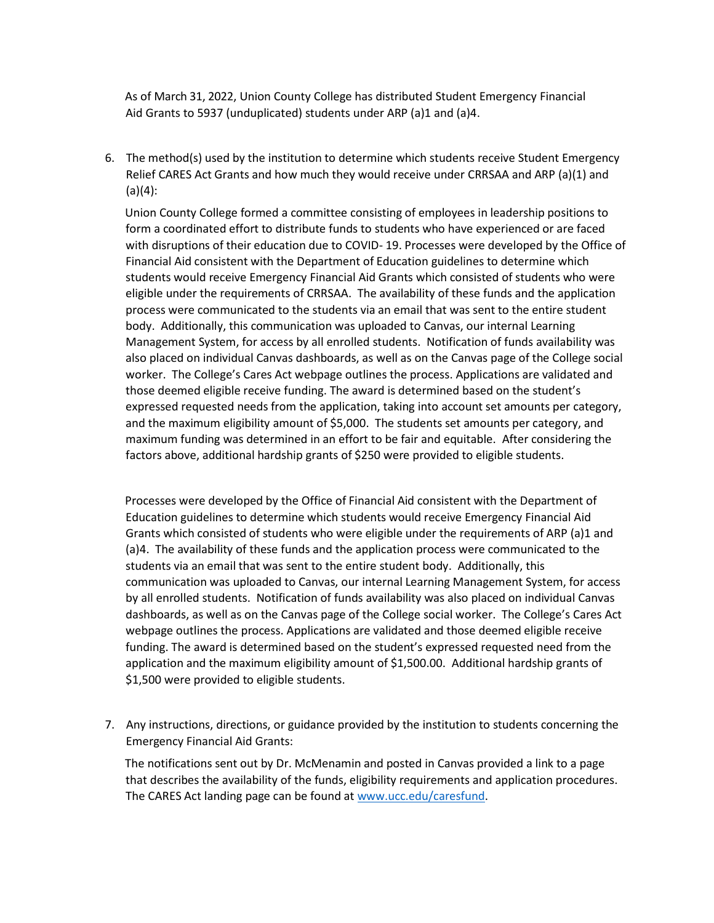As of March 31, 2022, Union County College has distributed Student Emergency Financial Aid Grants to 5937 (unduplicated) students under ARP (a)1 and (a)4.

6. The method(s) used by the institution to determine which students receive Student Emergency Relief CARES Act Grants and how much they would receive under CRRSAA and ARP (a)(1) and  $(a)(4)$ :

Union County College formed a committee consisting of employees in leadership positions to form a coordinated effort to distribute funds to students who have experienced or are faced with disruptions of their education due to COVID- 19. Processes were developed by the Office of Financial Aid consistent with the Department of Education guidelines to determine which students would receive Emergency Financial Aid Grants which consisted of students who were eligible under the requirements of CRRSAA. The availability of these funds and the application process were communicated to the students via an email that was sent to the entire student body. Additionally, this communication was uploaded to Canvas, our internal Learning Management System, for access by all enrolled students. Notification of funds availability was also placed on individual Canvas dashboards, as well as on the Canvas page of the College social worker. The College's Cares Act webpage outlines the process. Applications are validated and those deemed eligible receive funding. The award is determined based on the student's expressed requested needs from the application, taking into account set amounts per category, and the maximum eligibility amount of \$5,000. The students set amounts per category, and maximum funding was determined in an effort to be fair and equitable. After considering the factors above, additional hardship grants of \$250 were provided to eligible students.

Processes were developed by the Office of Financial Aid consistent with the Department of Education guidelines to determine which students would receive Emergency Financial Aid Grants which consisted of students who were eligible under the requirements of ARP (a)1 and (a)4. The availability of these funds and the application process were communicated to the students via an email that was sent to the entire student body. Additionally, this communication was uploaded to Canvas, our internal Learning Management System, for access by all enrolled students. Notification of funds availability was also placed on individual Canvas dashboards, as well as on the Canvas page of the College social worker. The College's Cares Act webpage outlines the process. Applications are validated and those deemed eligible receive funding. The award is determined based on the student's expressed requested need from the application and the maximum eligibility amount of \$1,500.00. Additional hardship grants of \$1,500 were provided to eligible students.

7. Any instructions, directions, or guidance provided by the institution to students concerning the Emergency Financial Aid Grants:

The notifications sent out by Dr. McMenamin and posted in Canvas provided a link to a page that describes the availability of the funds, eligibility requirements and application procedures. The CARES Act landing page can be found at [www.ucc.edu/caresfund.](http://www.ucc.edu/caresfund)